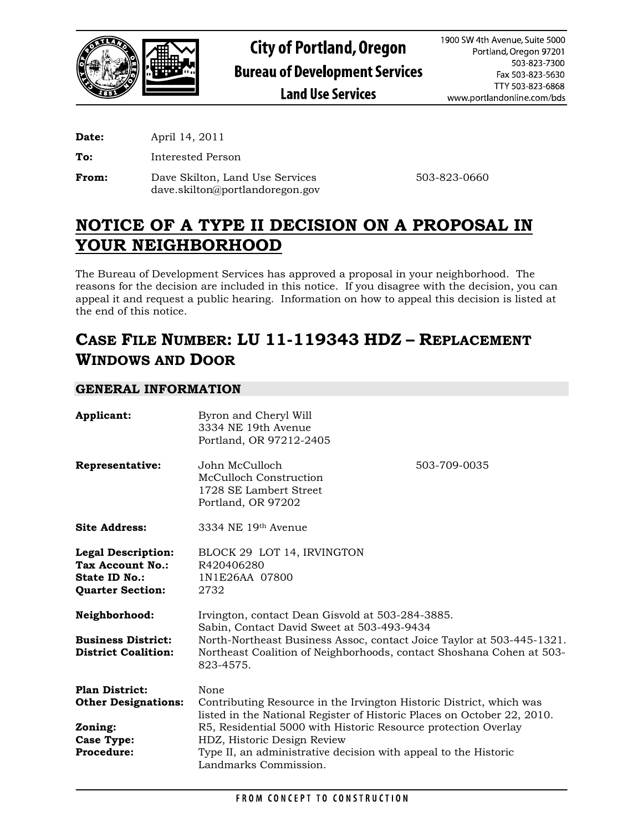

**Date:** April 14, 2011

**To:** Interested Person

**From:** Dave Skilton, Land Use Services 503-823-0660 dave.skilton@portlandoregon.gov

# **NOTICE OF A TYPE II DECISION ON A PROPOSAL IN YOUR NEIGHBORHOOD**

The Bureau of Development Services has approved a proposal in your neighborhood. The reasons for the decision are included in this notice. If you disagree with the decision, you can appeal it and request a public hearing. Information on how to appeal this decision is listed at the end of this notice.

# **CASE FILE NUMBER: LU 11-119343 HDZ – REPLACEMENT WINDOWS AND DOOR**

# **GENERAL INFORMATION**

| Applicant:                                                                                       | Byron and Cheryl Will<br>3334 NE 19th Avenue<br>Portland, OR 97212-2405                                                                                                                                                                                      |              |
|--------------------------------------------------------------------------------------------------|--------------------------------------------------------------------------------------------------------------------------------------------------------------------------------------------------------------------------------------------------------------|--------------|
| Representative:                                                                                  | John McCulloch<br>McCulloch Construction<br>1728 SE Lambert Street<br>Portland, OR 97202                                                                                                                                                                     | 503-709-0035 |
| <b>Site Address:</b>                                                                             | 3334 NE 19th Avenue                                                                                                                                                                                                                                          |              |
| <b>Legal Description:</b><br>Tax Account No.:<br><b>State ID No.:</b><br><b>Quarter Section:</b> | BLOCK 29 LOT 14, IRVINGTON<br>R420406280<br>1N1E26AA 07800<br>2732                                                                                                                                                                                           |              |
| Neighborhood:<br><b>Business District:</b><br><b>District Coalition:</b>                         | Irvington, contact Dean Gisvold at 503-284-3885.<br>Sabin, Contact David Sweet at 503-493-9434<br>North-Northeast Business Assoc, contact Joice Taylor at 503-445-1321.<br>Northeast Coalition of Neighborhoods, contact Shoshana Cohen at 503-<br>823-4575. |              |
| <b>Plan District:</b><br><b>Other Designations:</b>                                              | None<br>Contributing Resource in the Irvington Historic District, which was<br>listed in the National Register of Historic Places on October 22, 2010.                                                                                                       |              |
| Zoning:                                                                                          | R5, Residential 5000 with Historic Resource protection Overlay                                                                                                                                                                                               |              |
| <b>Case Type:</b>                                                                                | HDZ, Historic Design Review                                                                                                                                                                                                                                  |              |
| <b>Procedure:</b>                                                                                | Type II, an administrative decision with appeal to the Historic<br>Landmarks Commission.                                                                                                                                                                     |              |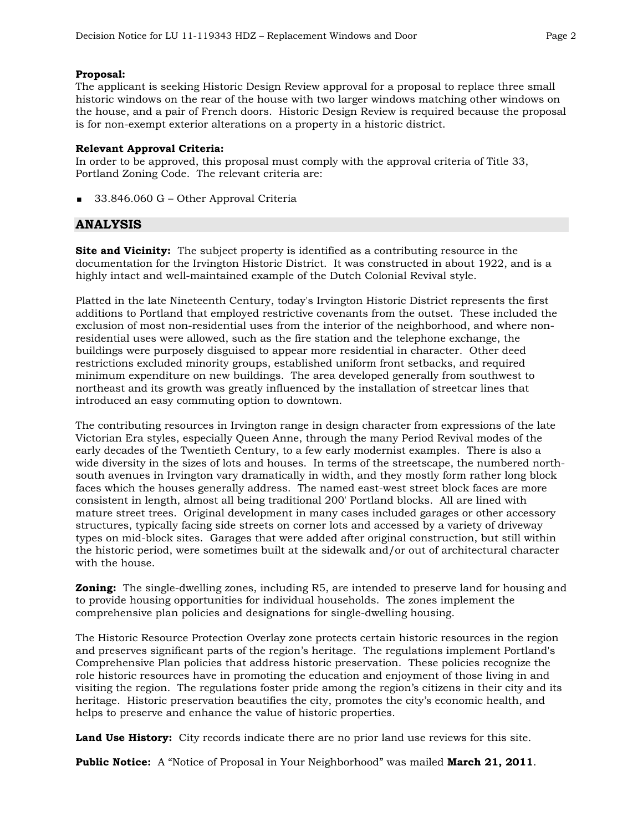### **Proposal:**

The applicant is seeking Historic Design Review approval for a proposal to replace three small historic windows on the rear of the house with two larger windows matching other windows on the house, and a pair of French doors. Historic Design Review is required because the proposal is for non-exempt exterior alterations on a property in a historic district.

### **Relevant Approval Criteria:**

In order to be approved, this proposal must comply with the approval criteria of Title 33, Portland Zoning Code. The relevant criteria are:

33.846.060 G – Other Approval Criteria

## **ANALYSIS**

**Site and Vicinity:** The subject property is identified as a contributing resource in the documentation for the Irvington Historic District. It was constructed in about 1922, and is a highly intact and well-maintained example of the Dutch Colonial Revival style.

Platted in the late Nineteenth Century, today's Irvington Historic District represents the first additions to Portland that employed restrictive covenants from the outset. These included the exclusion of most non-residential uses from the interior of the neighborhood, and where nonresidential uses were allowed, such as the fire station and the telephone exchange, the buildings were purposely disguised to appear more residential in character. Other deed restrictions excluded minority groups, established uniform front setbacks, and required minimum expenditure on new buildings. The area developed generally from southwest to northeast and its growth was greatly influenced by the installation of streetcar lines that introduced an easy commuting option to downtown.

The contributing resources in Irvington range in design character from expressions of the late Victorian Era styles, especially Queen Anne, through the many Period Revival modes of the early decades of the Twentieth Century, to a few early modernist examples. There is also a wide diversity in the sizes of lots and houses. In terms of the streetscape, the numbered northsouth avenues in Irvington vary dramatically in width, and they mostly form rather long block faces which the houses generally address. The named east-west street block faces are more consistent in length, almost all being traditional 200' Portland blocks. All are lined with mature street trees. Original development in many cases included garages or other accessory structures, typically facing side streets on corner lots and accessed by a variety of driveway types on mid-block sites. Garages that were added after original construction, but still within the historic period, were sometimes built at the sidewalk and/or out of architectural character with the house.

**Zoning:** The single-dwelling zones, including R5, are intended to preserve land for housing and to provide housing opportunities for individual households. The zones implement the comprehensive plan policies and designations for single-dwelling housing.

The Historic Resource Protection Overlay zone protects certain historic resources in the region and preserves significant parts of the region's heritage. The regulations implement Portland's Comprehensive Plan policies that address historic preservation. These policies recognize the role historic resources have in promoting the education and enjoyment of those living in and visiting the region. The regulations foster pride among the region's citizens in their city and its heritage. Historic preservation beautifies the city, promotes the city's economic health, and helps to preserve and enhance the value of historic properties.

**Land Use History:** City records indicate there are no prior land use reviews for this site.

**Public Notice:** A "Notice of Proposal in Your Neighborhood" was mailed **March 21, 2011**.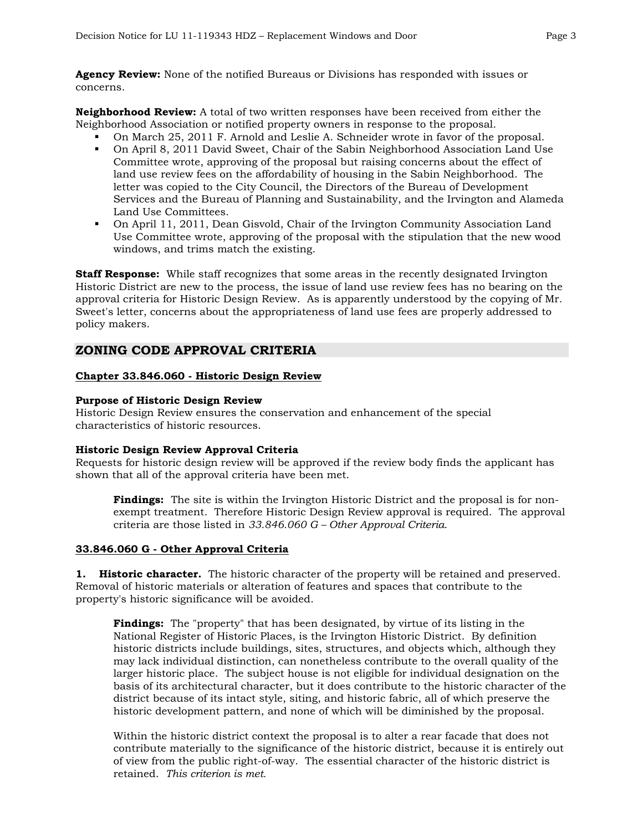**Agency Review:** None of the notified Bureaus or Divisions has responded with issues or concerns.

**Neighborhood Review:** A total of two written responses have been received from either the Neighborhood Association or notified property owners in response to the proposal.

- On March 25, 2011 F. Arnold and Leslie A. Schneider wrote in favor of the proposal.
- On April 8, 2011 David Sweet, Chair of the Sabin Neighborhood Association Land Use Committee wrote, approving of the proposal but raising concerns about the effect of land use review fees on the affordability of housing in the Sabin Neighborhood. The letter was copied to the City Council, the Directors of the Bureau of Development Services and the Bureau of Planning and Sustainability, and the Irvington and Alameda Land Use Committees.
- On April 11, 2011, Dean Gisvold, Chair of the Irvington Community Association Land Use Committee wrote, approving of the proposal with the stipulation that the new wood windows, and trims match the existing.

**Staff Response:** While staff recognizes that some areas in the recently designated Irvington Historic District are new to the process, the issue of land use review fees has no bearing on the approval criteria for Historic Design Review. As is apparently understood by the copying of Mr. Sweet's letter, concerns about the appropriateness of land use fees are properly addressed to policy makers.

## **ZONING CODE APPROVAL CRITERIA**

## **Chapter 33.846.060 - Historic Design Review**

## **Purpose of Historic Design Review**

Historic Design Review ensures the conservation and enhancement of the special characteristics of historic resources.

## **Historic Design Review Approval Criteria**

Requests for historic design review will be approved if the review body finds the applicant has shown that all of the approval criteria have been met.

**Findings:** The site is within the Irvington Historic District and the proposal is for nonexempt treatment. Therefore Historic Design Review approval is required. The approval criteria are those listed in *33.846.060 G – Other Approval Criteria*.

## **33.846.060 G - Other Approval Criteria**

**1. Historic character.** The historic character of the property will be retained and preserved. Removal of historic materials or alteration of features and spaces that contribute to the property's historic significance will be avoided.

**Findings:** The "property" that has been designated, by virtue of its listing in the National Register of Historic Places, is the Irvington Historic District. By definition historic districts include buildings, sites, structures, and objects which, although they may lack individual distinction, can nonetheless contribute to the overall quality of the larger historic place. The subject house is not eligible for individual designation on the basis of its architectural character, but it does contribute to the historic character of the district because of its intact style, siting, and historic fabric, all of which preserve the historic development pattern, and none of which will be diminished by the proposal.

Within the historic district context the proposal is to alter a rear facade that does not contribute materially to the significance of the historic district, because it is entirely out of view from the public right-of-way. The essential character of the historic district is retained. *This criterion is met.*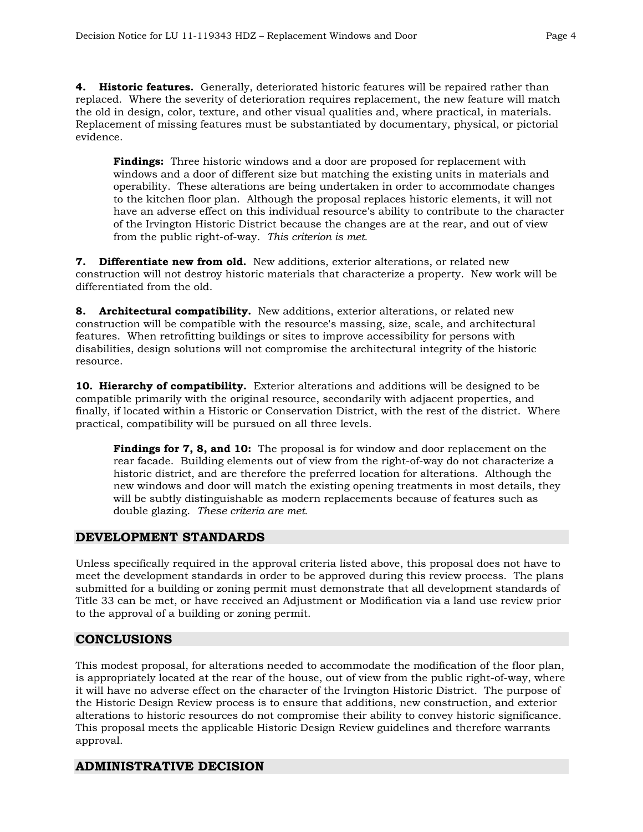**4. Historic features.** Generally, deteriorated historic features will be repaired rather than replaced. Where the severity of deterioration requires replacement, the new feature will match the old in design, color, texture, and other visual qualities and, where practical, in materials. Replacement of missing features must be substantiated by documentary, physical, or pictorial evidence.

**Findings:** Three historic windows and a door are proposed for replacement with windows and a door of different size but matching the existing units in materials and operability. These alterations are being undertaken in order to accommodate changes to the kitchen floor plan. Although the proposal replaces historic elements, it will not have an adverse effect on this individual resource's ability to contribute to the character of the Irvington Historic District because the changes are at the rear, and out of view from the public right-of-way. *This criterion is met.* 

**7. Differentiate new from old.** New additions, exterior alterations, or related new construction will not destroy historic materials that characterize a property. New work will be differentiated from the old.

**8. Architectural compatibility.** New additions, exterior alterations, or related new construction will be compatible with the resource's massing, size, scale, and architectural features. When retrofitting buildings or sites to improve accessibility for persons with disabilities, design solutions will not compromise the architectural integrity of the historic resource.

**10. Hierarchy of compatibility.** Exterior alterations and additions will be designed to be compatible primarily with the original resource, secondarily with adjacent properties, and finally, if located within a Historic or Conservation District, with the rest of the district. Where practical, compatibility will be pursued on all three levels.

**Findings for 7, 8, and 10:** The proposal is for window and door replacement on the rear facade. Building elements out of view from the right-of-way do not characterize a historic district, and are therefore the preferred location for alterations. Although the new windows and door will match the existing opening treatments in most details, they will be subtly distinguishable as modern replacements because of features such as double glazing. *These criteria are met.*

# **DEVELOPMENT STANDARDS**

Unless specifically required in the approval criteria listed above, this proposal does not have to meet the development standards in order to be approved during this review process. The plans submitted for a building or zoning permit must demonstrate that all development standards of Title 33 can be met, or have received an Adjustment or Modification via a land use review prior to the approval of a building or zoning permit.

# **CONCLUSIONS**

This modest proposal, for alterations needed to accommodate the modification of the floor plan, is appropriately located at the rear of the house, out of view from the public right-of-way, where it will have no adverse effect on the character of the Irvington Historic District. The purpose of the Historic Design Review process is to ensure that additions, new construction, and exterior alterations to historic resources do not compromise their ability to convey historic significance. This proposal meets the applicable Historic Design Review guidelines and therefore warrants approval.

# **ADMINISTRATIVE DECISION**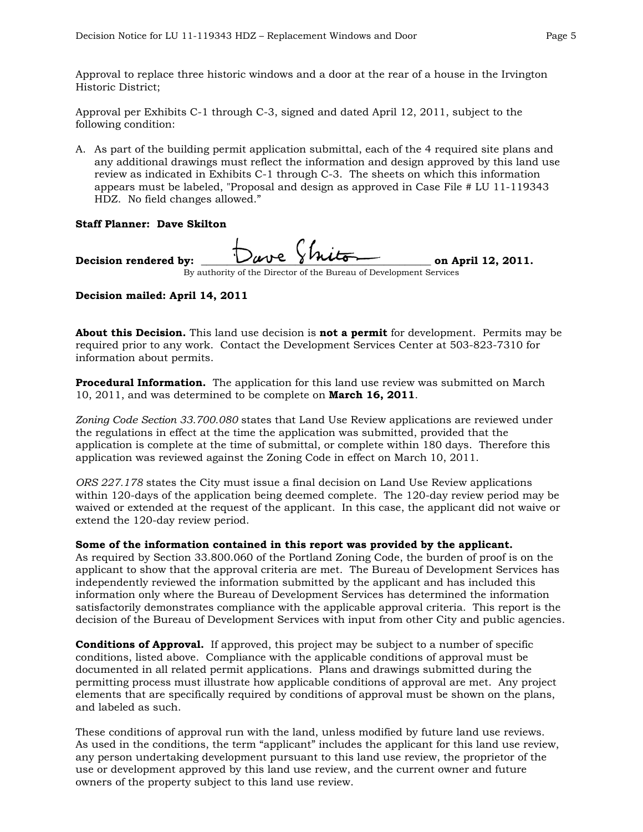Approval to replace three historic windows and a door at the rear of a house in the Irvington Historic District;

Approval per Exhibits C-1 through C-3, signed and dated April 12, 2011, subject to the following condition:

A. As part of the building permit application submittal, each of the 4 required site plans and any additional drawings must reflect the information and design approved by this land use review as indicated in Exhibits C-1 through C-3. The sheets on which this information appears must be labeled, "Proposal and design as approved in Case File # LU 11-119343 HDZ. No field changes allowed."

### **Staff Planner: Dave Skilton**

Decision rendered by:  $\bigcup_{\mu\psi\in\mathcal{V}}\psi$  with  $\bigcup_{\text{un April 12, 2011.}}$ By authority of the Director of the Bureau of Development Services

## **Decision mailed: April 14, 2011**

**About this Decision.** This land use decision is **not a permit** for development. Permits may be required prior to any work. Contact the Development Services Center at 503-823-7310 for information about permits.

**Procedural Information.** The application for this land use review was submitted on March 10, 2011, and was determined to be complete on **March 16, 2011**.

*Zoning Code Section 33.700.080* states that Land Use Review applications are reviewed under the regulations in effect at the time the application was submitted, provided that the application is complete at the time of submittal, or complete within 180 days. Therefore this application was reviewed against the Zoning Code in effect on March 10, 2011.

*ORS 227.178* states the City must issue a final decision on Land Use Review applications within 120-days of the application being deemed complete. The 120-day review period may be waived or extended at the request of the applicant. In this case, the applicant did not waive or extend the 120-day review period.

## **Some of the information contained in this report was provided by the applicant.**

As required by Section 33.800.060 of the Portland Zoning Code, the burden of proof is on the applicant to show that the approval criteria are met. The Bureau of Development Services has independently reviewed the information submitted by the applicant and has included this information only where the Bureau of Development Services has determined the information satisfactorily demonstrates compliance with the applicable approval criteria. This report is the decision of the Bureau of Development Services with input from other City and public agencies.

**Conditions of Approval.** If approved, this project may be subject to a number of specific conditions, listed above. Compliance with the applicable conditions of approval must be documented in all related permit applications. Plans and drawings submitted during the permitting process must illustrate how applicable conditions of approval are met. Any project elements that are specifically required by conditions of approval must be shown on the plans, and labeled as such.

These conditions of approval run with the land, unless modified by future land use reviews. As used in the conditions, the term "applicant" includes the applicant for this land use review, any person undertaking development pursuant to this land use review, the proprietor of the use or development approved by this land use review, and the current owner and future owners of the property subject to this land use review.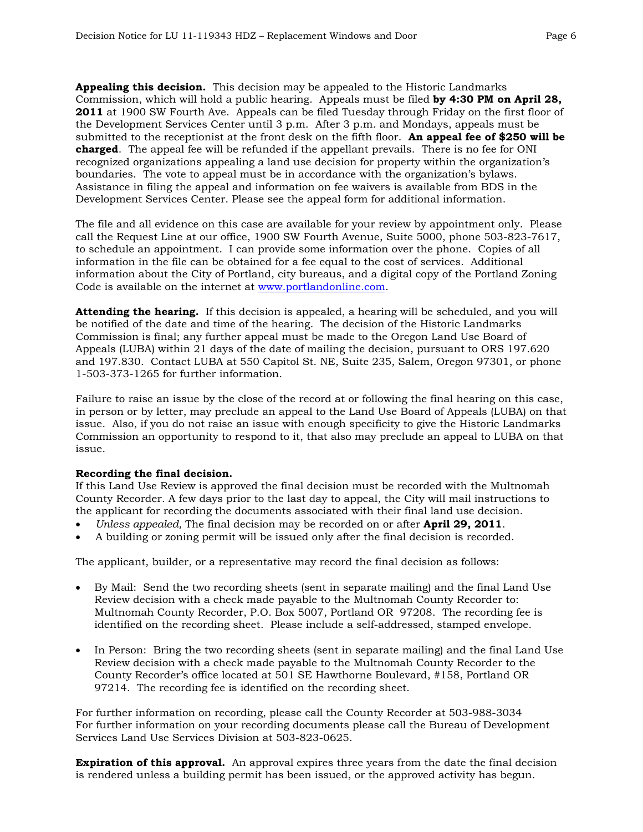**Appealing this decision.** This decision may be appealed to the Historic Landmarks Commission, which will hold a public hearing. Appeals must be filed **by 4:30 PM on April 28, 2011** at 1900 SW Fourth Ave. Appeals can be filed Tuesday through Friday on the first floor of the Development Services Center until 3 p.m. After 3 p.m. and Mondays, appeals must be submitted to the receptionist at the front desk on the fifth floor. **An appeal fee of \$250 will be charged**. The appeal fee will be refunded if the appellant prevails. There is no fee for ONI recognized organizations appealing a land use decision for property within the organization's boundaries. The vote to appeal must be in accordance with the organization's bylaws. Assistance in filing the appeal and information on fee waivers is available from BDS in the Development Services Center. Please see the appeal form for additional information.

The file and all evidence on this case are available for your review by appointment only. Please call the Request Line at our office, 1900 SW Fourth Avenue, Suite 5000, phone 503-823-7617, to schedule an appointment. I can provide some information over the phone. Copies of all information in the file can be obtained for a fee equal to the cost of services. Additional information about the City of Portland, city bureaus, and a digital copy of the Portland Zoning Code is available on the internet at [www.portlandonline.com](http://www.ci.portland.or.us/).

**Attending the hearing.** If this decision is appealed, a hearing will be scheduled, and you will be notified of the date and time of the hearing. The decision of the Historic Landmarks Commission is final; any further appeal must be made to the Oregon Land Use Board of Appeals (LUBA) within 21 days of the date of mailing the decision, pursuant to ORS 197.620 and 197.830. Contact LUBA at 550 Capitol St. NE, Suite 235, Salem, Oregon 97301, or phone 1-503-373-1265 for further information.

Failure to raise an issue by the close of the record at or following the final hearing on this case, in person or by letter, may preclude an appeal to the Land Use Board of Appeals (LUBA) on that issue. Also, if you do not raise an issue with enough specificity to give the Historic Landmarks Commission an opportunity to respond to it, that also may preclude an appeal to LUBA on that issue.

## **Recording the final decision.**

If this Land Use Review is approved the final decision must be recorded with the Multnomah County Recorder. A few days prior to the last day to appeal, the City will mail instructions to the applicant for recording the documents associated with their final land use decision.

- *Unless appealed,* The final decision may be recorded on or after **April 29, 2011**.
- A building or zoning permit will be issued only after the final decision is recorded.

The applicant, builder, or a representative may record the final decision as follows:

- By Mail: Send the two recording sheets (sent in separate mailing) and the final Land Use Review decision with a check made payable to the Multnomah County Recorder to: Multnomah County Recorder, P.O. Box 5007, Portland OR 97208. The recording fee is identified on the recording sheet. Please include a self-addressed, stamped envelope.
- In Person: Bring the two recording sheets (sent in separate mailing) and the final Land Use Review decision with a check made payable to the Multnomah County Recorder to the County Recorder's office located at 501 SE Hawthorne Boulevard, #158, Portland OR 97214. The recording fee is identified on the recording sheet.

For further information on recording, please call the County Recorder at 503-988-3034 For further information on your recording documents please call the Bureau of Development Services Land Use Services Division at 503-823-0625.

**Expiration of this approval.** An approval expires three years from the date the final decision is rendered unless a building permit has been issued, or the approved activity has begun.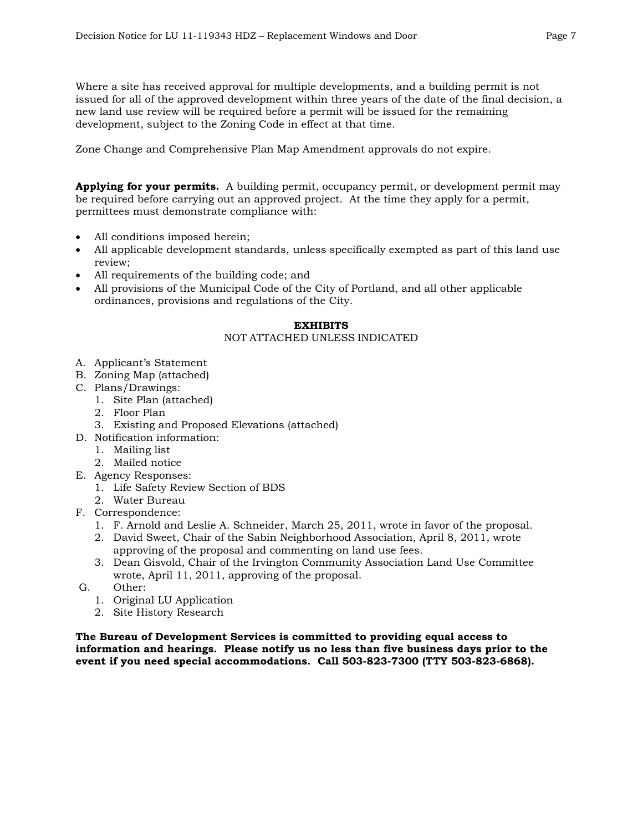Where a site has received approval for multiple developments, and a building permit is not issued for all of the approved development within three years of the date of the final decision, a new land use review will be required before a permit will be issued for the remaining development, subject to the Zoning Code in effect at that time.

Zone Change and Comprehensive Plan Map Amendment approvals do not expire.

**Applying for your permits.** A building permit, occupancy permit, or development permit may be required before carrying out an approved project. At the time they apply for a permit, permittees must demonstrate compliance with:

- All conditions imposed herein;
- All applicable development standards, unless specifically exempted as part of this land use review;
- All requirements of the building code; and
- All provisions of the Municipal Code of the City of Portland, and all other applicable ordinances, provisions and regulations of the City.

### **EXHIBITS**

### NOT ATTACHED UNLESS INDICATED

- A. Applicant's Statement
- B. Zoning Map (attached)
- C. Plans/Drawings:
	- 1. Site Plan (attached)
	- 2. Floor Plan
	- 3. Existing and Proposed Elevations (attached)
- D. Notification information:
	- 1. Mailing list
	- 2. Mailed notice
- E. Agency Responses:
	- 1. Life Safety Review Section of BDS
	- 2. Water Bureau
- F. Correspondence:
	- 1. F. Arnold and Leslie A. Schneider, March 25, 2011, wrote in favor of the proposal.
	- 2. David Sweet, Chair of the Sabin Neighborhood Association, April 8, 2011, wrote approving of the proposal and commenting on land use fees.
	- 3. Dean Gisvold, Chair of the Irvington Community Association Land Use Committee wrote, April 11, 2011, approving of the proposal.
- G. Other:
	- 1. Original LU Application
	- 2. Site History Research

**The Bureau of Development Services is committed to providing equal access to information and hearings. Please notify us no less than five business days prior to the event if you need special accommodations. Call 503-823-7300 (TTY 503-823-6868).**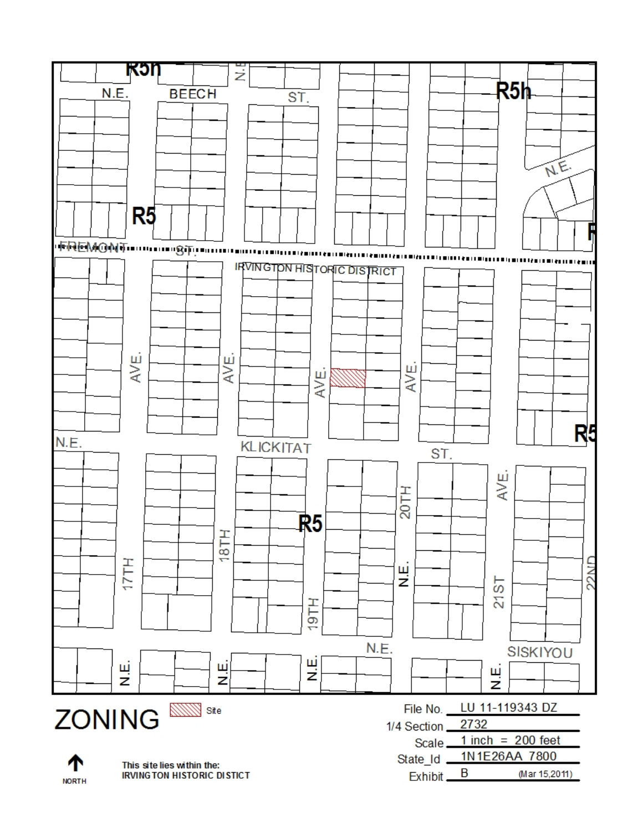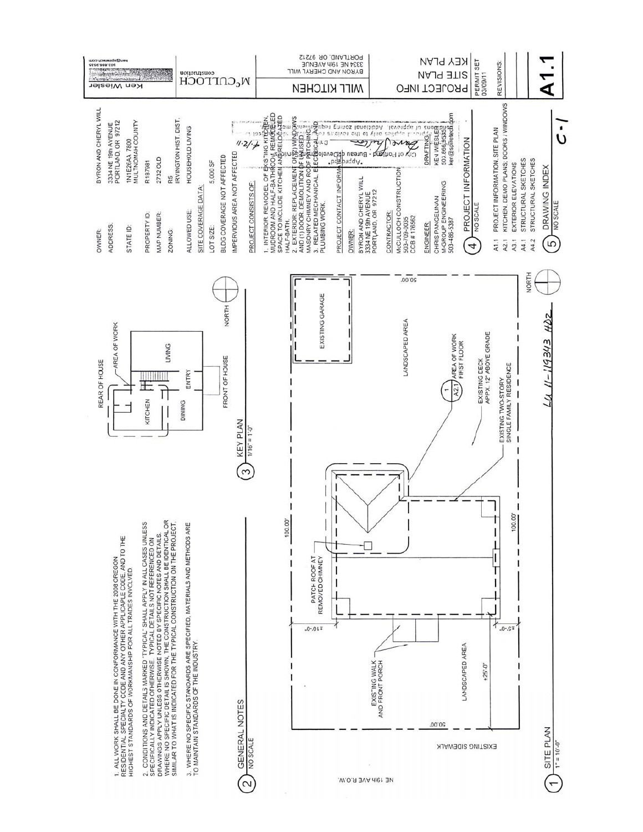